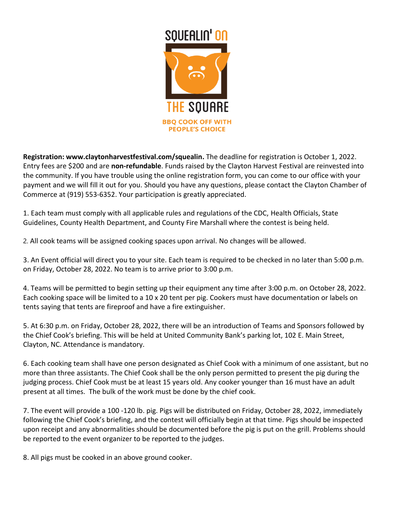

**Registration: www.claytonharvestfestival.com/squealin.** The deadline for registration is October 1, 2022. Entry fees are \$200 and are **non-refundable**. Funds raised by the Clayton Harvest Festival are reinvested into the community. If you have trouble using the online registration form, you can come to our office with your payment and we will fill it out for you. Should you have any questions, please contact the Clayton Chamber of Commerce at (919) 553-6352. Your participation is greatly appreciated.

1. Each team must comply with all applicable rules and regulations of the CDC, Health Officials, State Guidelines, County Health Department, and County Fire Marshall where the contest is being held.

2. All cook teams will be assigned cooking spaces upon arrival. No changes will be allowed.

3. An Event official will direct you to your site. Each team is required to be checked in no later than 5:00 p.m. on Friday, October 28, 2022. No team is to arrive prior to 3:00 p.m.

4. Teams will be permitted to begin setting up their equipment any time after 3:00 p.m. on October 28, 2022. Each cooking space will be limited to a 10 x 20 tent per pig. Cookers must have documentation or labels on tents saying that tents are fireproof and have a fire extinguisher.

5. At 6:30 p.m. on Friday, October 28, 2022, there will be an introduction of Teams and Sponsors followed by the Chief Cook's briefing. This will be held at United Community Bank's parking lot, 102 E. Main Street, Clayton, NC. Attendance is mandatory.

6. Each cooking team shall have one person designated as Chief Cook with a minimum of one assistant, but no more than three assistants. The Chief Cook shall be the only person permitted to present the pig during the judging process. Chief Cook must be at least 15 years old. Any cooker younger than 16 must have an adult present at all times. The bulk of the work must be done by the chief cook.

7. The event will provide a 100 -120 lb. pig. Pigs will be distributed on Friday, October 28, 2022, immediately following the Chief Cook's briefing, and the contest will officially begin at that time. Pigs should be inspected upon receipt and any abnormalities should be documented before the pig is put on the grill. Problems should be reported to the event organizer to be reported to the judges.

8. All pigs must be cooked in an above ground cooker.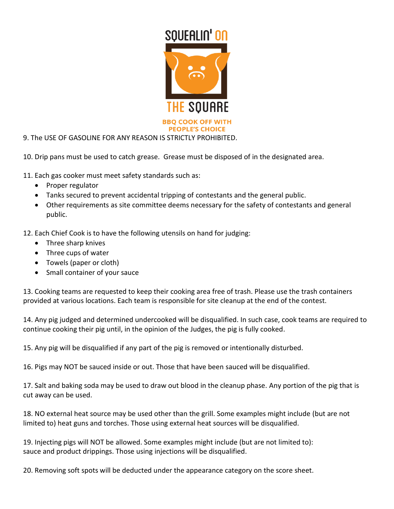

9. The USE OF GASOLINE FOR ANY REASON IS STRICTLY PROHIBITED.

10. Drip pans must be used to catch grease. Grease must be disposed of in the designated area.

11. Each gas cooker must meet safety standards such as:

- Proper regulator
- Tanks secured to prevent accidental tripping of contestants and the general public.
- Other requirements as site committee deems necessary for the safety of contestants and general public.
- 12. Each Chief Cook is to have the following utensils on hand for judging:
	- Three sharp knives
	- Three cups of water
	- Towels (paper or cloth)
	- Small container of your sauce

13. Cooking teams are requested to keep their cooking area free of trash. Please use the trash containers provided at various locations. Each team is responsible for site cleanup at the end of the contest.

14. Any pig judged and determined undercooked will be disqualified. In such case, cook teams are required to continue cooking their pig until, in the opinion of the Judges, the pig is fully cooked.

15. Any pig will be disqualified if any part of the pig is removed or intentionally disturbed.

16. Pigs may NOT be sauced inside or out. Those that have been sauced will be disqualified.

17. Salt and baking soda may be used to draw out blood in the cleanup phase. Any portion of the pig that is cut away can be used.

18. NO external heat source may be used other than the grill. Some examples might include (but are not limited to) heat guns and torches. Those using external heat sources will be disqualified.

19. Injecting pigs will NOT be allowed. Some examples might include (but are not limited to): sauce and product drippings. Those using injections will be disqualified.

20. Removing soft spots will be deducted under the appearance category on the score sheet.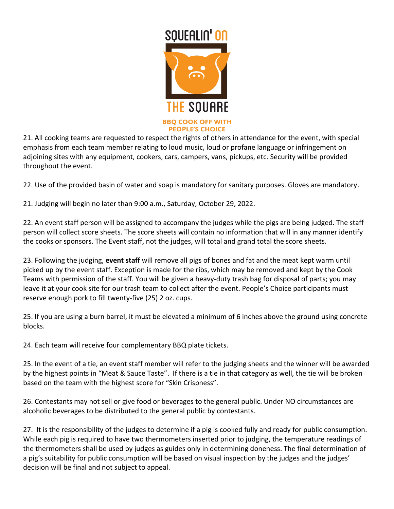

21. All cooking teams are requested to respect the rights of others in attendance for the event, with special emphasis from each team member relating to loud music, loud or profane language or infringement on adjoining sites with any equipment, cookers, cars, campers, vans, pickups, etc. Security will be provided throughout the event.

22. Use of the provided basin of water and soap is mandatory for sanitary purposes. Gloves are mandatory.

21. Judging will begin no later than 9:00 a.m., Saturday, October 29, 2022.

22. An event staff person will be assigned to accompany the judges while the pigs are being judged. The staff person will collect score sheets. The score sheets will contain no information that will in any manner identify the cooks or sponsors. The Event staff, not the judges, will total and grand total the score sheets.

23. Following the judging, **event staff** will remove all pigs of bones and fat and the meat kept warm until picked up by the event staff. Exception is made for the ribs, which may be removed and kept by the Cook Teams with permission of the staff. You will be given a heavy-duty trash bag for disposal of parts; you may leave it at your cook site for our trash team to collect after the event. People's Choice participants must reserve enough pork to fill twenty-five (25) 2 oz. cups.

25. If you are using a burn barrel, it must be elevated a minimum of 6 inches above the ground using concrete blocks.

24. Each team will receive four complementary BBQ plate tickets.

25. In the event of a tie, an event staff member will refer to the judging sheets and the winner will be awarded by the highest points in "Meat & Sauce Taste". If there is a tie in that category as well, the tie will be broken based on the team with the highest score for "Skin Crispness".

26. Contestants may not sell or give food or beverages to the general public. Under NO circumstances are alcoholic beverages to be distributed to the general public by contestants.

27. It is the responsibility of the judges to determine if a pig is cooked fully and ready for public consumption. While each pig is required to have two thermometers inserted prior to judging, the temperature readings of the thermometers shall be used by judges as guides only in determining doneness. The final determination of a pig's suitability for public consumption will be based on visual inspection by the judges and the judges' decision will be final and not subject to appeal.